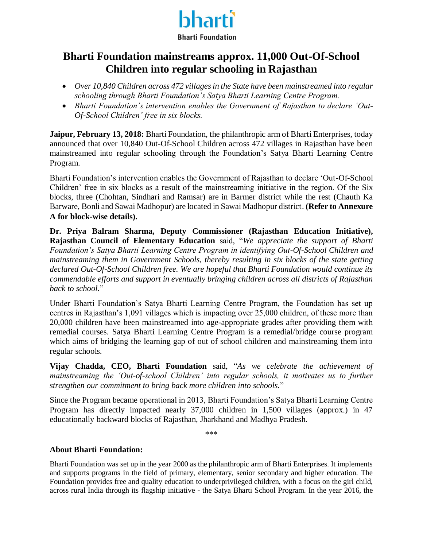

### **Bharti Foundation mainstreams approx. 11,000 Out-Of-School Children into regular schooling in Rajasthan**

- *Over 10,840 Children across 472 villages in the State have been mainstreamed into regular schooling through Bharti Foundation's Satya Bharti Learning Centre Program.*
- *Bharti Foundation's intervention enables the Government of Rajasthan to declare 'Out-Of-School Children' free in six blocks.*

**Jaipur, February 13, 2018:** Bharti Foundation, the philanthropic arm of Bharti Enterprises, today announced that over 10,840 Out-Of-School Children across 472 villages in Rajasthan have been mainstreamed into regular schooling through the Foundation's Satya Bharti Learning Centre Program.

Bharti Foundation's intervention enables the Government of Rajasthan to declare 'Out-Of-School Children' free in six blocks as a result of the mainstreaming initiative in the region. Of the Six blocks, three (Chohtan, Sindhari and Ramsar) are in Barmer district while the rest (Chauth Ka Barware, Bonli and Sawai Madhopur) are located in Sawai Madhopur district. **(Refer to Annexure A for block-wise details).**

**Dr. Priya Balram Sharma, Deputy Commissioner (Rajasthan Education Initiative), Rajasthan Council of Elementary Education** said, "*We appreciate the support of Bharti Foundation's Satya Bharti Learning Centre Program in identifying Out-Of-School Children and mainstreaming them in Government Schools, thereby resulting in six blocks of the state getting declared Out-Of-School Children free. We are hopeful that Bharti Foundation would continue its commendable efforts and support in eventually bringing children across all districts of Rajasthan back to school.*"

Under Bharti Foundation's Satya Bharti Learning Centre Program, the Foundation has set up centres in Rajasthan's 1,091 villages which is impacting over 25,000 children, of these more than 20,000 children have been mainstreamed into age-appropriate grades after providing them with remedial courses. Satya Bharti Learning Centre Program is a remedial/bridge course program which aims of bridging the learning gap of out of school children and mainstreaming them into regular schools.

**Vijay Chadda, CEO, Bharti Foundation** said, "*As we celebrate the achievement of mainstreaming the 'Out-of-school Children' into regular schools, it motivates us to further strengthen our commitment to bring back more children into schools.*"

Since the Program became operational in 2013, Bharti Foundation's Satya Bharti Learning Centre Program has directly impacted nearly 37,000 children in 1,500 villages (approx.) in 47 educationally backward blocks of Rajasthan, Jharkhand and Madhya Pradesh.

\*\*\*

#### **About Bharti Foundation:**

Bharti Foundation was set up in the year 2000 as the philanthropic arm of Bharti Enterprises. It implements and supports programs in the field of primary, elementary, senior secondary and higher education. The Foundation provides free and quality education to underprivileged children, with a focus on the girl child, across rural India through its flagship initiative - the Satya Bharti School Program. In the year 2016, the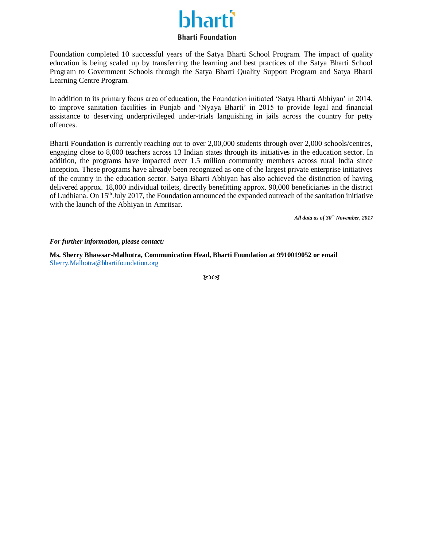#### **Bharti Foundation**

Foundation completed 10 successful years of the Satya Bharti School Program. The impact of quality education is being scaled up by transferring the learning and best practices of the Satya Bharti School Program to Government Schools through the Satya Bharti Quality Support Program and Satya Bharti Learning Centre Program.

In addition to its primary focus area of education, the Foundation initiated 'Satya Bharti Abhiyan' in 2014, to improve sanitation facilities in Punjab and 'Nyaya Bharti' in 2015 to provide legal and financial assistance to deserving underprivileged under-trials languishing in jails across the country for petty offences.

Bharti Foundation is currently reaching out to over 2,00,000 students through over 2,000 schools/centres, engaging close to 8,000 teachers across 13 Indian states through its initiatives in the education sector. In addition, the programs have impacted over 1.5 million community members across rural India since inception. These programs have already been recognized as one of the largest private enterprise initiatives of the country in the education sector. Satya Bharti Abhiyan has also achieved the distinction of having delivered approx. 18,000 individual toilets, directly benefitting approx. 90,000 beneficiaries in the district of Ludhiana. On  $15<sup>th</sup>$  July 2017, the Foundation announced the expanded outreach of the sanitation initiative with the launch of the Abhiyan in Amritsar.

*All data as of 30th November, 2017*

#### *For further information, please contact:*

**Ms. Sherry Bhawsar-Malhotra, Communication Head, Bharti Foundation at 9910019052 or email**  [Sherry.Malhotra@bhartifoundation.org](mailto:Sherry.Malhotra@bhartifoundation.org)

ುಂತ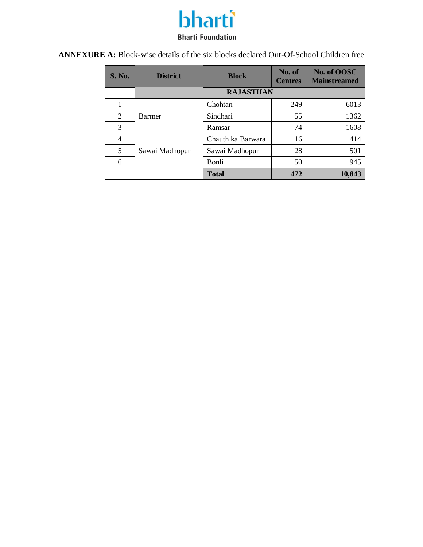## bharti **Bharti Foundation**

**ANNEXURE A:** Block-wise details of the six blocks declared Out-Of-School Children free

| <b>S. No.</b> | <b>District</b>  | <b>Block</b>      | No. of<br><b>Centres</b> | No. of OOSC<br><b>Mainstreamed</b> |  |
|---------------|------------------|-------------------|--------------------------|------------------------------------|--|
|               | <b>RAJASTHAN</b> |                   |                          |                                    |  |
|               |                  | Chohtan           | 249                      | 6013                               |  |
| 2             | Barmer           | Sindhari          | 55                       | 1362                               |  |
| 3             |                  | Ramsar            | 74                       | 1608                               |  |
| 4             |                  | Chauth ka Barwara | 16                       | 414                                |  |
| 5             | Sawai Madhopur   | Sawai Madhopur    | 28                       | 501                                |  |
| 6             |                  | Bonli             | 50                       | 945                                |  |
|               |                  | <b>Total</b>      | 472                      | 10,843                             |  |